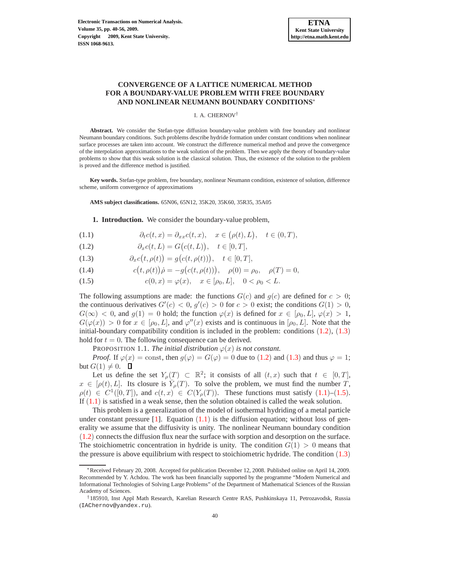# **CONVERGENCE OF A LATTICE NUMERICAL METHOD FOR A BOUNDARY-VALUE PROBLEM WITH FREE BOUNDARY AND NONLINEAR NEUMANN BOUNDARY CONDITIONS**<sup>∗</sup>

#### I. A. CHERNOV†

**Abstract.** We consider the Stefan-type diffusion boundary-value problem with free boundary and nonlinear Neumann boundary conditions. Such problems describe hydride formation under constant conditions when nonlinear surface processes are taken into account. We construct the difference numerical method and prove the convergence of the interpolation approximations to the weak solution of the problem. Then we apply the theory of boundary-value problems to show that this weak solution is the classical solution. Thus, the existence of the solution to the problem is proved and the difference method is justified.

**Key words.** Stefan-type problem, free boundary, nonlinear Neumann condition, existence of solution, difference scheme, uniform convergence of approximations

**AMS subject classifications.** 65N06, 65N12, 35K20, 35K60, 35R35, 35A05

# **1. Introduction.** We consider the boundary-value problem,

<span id="page-0-0"></span>(1.1) 
$$
\partial_t c(t,x) = \partial_{xx} c(t,x), \quad x \in (\rho(t), L), \quad t \in (0, T),
$$

$$
(1.2) \qquad \partial_x c(t, L) = G\big(c(t, L)\big), \quad t \in [0, T],
$$

(1.3)  $\partial_x c(t, \rho(t)) = g(c(t, \rho(t))), \quad t \in [0, T],$ 

(1.4) 
$$
c(t, \rho(t))\dot{\rho} = -g(c(t, \rho(t))), \quad \rho(0) = \rho_0, \quad \rho(T) = 0,
$$

(1.5)  $c(0, x) = \varphi(x), \quad x \in [\rho_0, L], \quad 0 < \rho_0 < L.$ 

The following assumptions are made: the functions  $G(c)$  and  $g(c)$  are defined for  $c > 0$ ; the continuous derivatives  $G'(c) < 0$ ,  $g'(c) > 0$  for  $c > 0$  exist; the conditions  $G(1) > 0$ ,  $G(\infty) < 0$ , and  $g(1) = 0$  hold; the function  $\varphi(x)$  is defined for  $x \in [\rho_0, L], \varphi(x) > 1$ ,  $G(\varphi(x)) > 0$  for  $x \in [\rho_0, L]$ , and  $\varphi''(x)$  exists and is continuous in  $[\rho_0, L]$ . Note that the initial-boundary compatibility condition is included in the problem: conditions  $(1.2)$  $(1.2)$  $(1.2)$ ,  $(1.3)$  $(1.3)$  $(1.3)$ hold for  $t = 0$ . The following consequence can be derived.

PROPOSITION 1.1. *The initial distribution*  $\varphi(x)$  *is not constant.* 

<span id="page-0-1"></span>*Proof.* If  $\varphi(x) = \text{const}$ , then  $g(\varphi) = G(\varphi) = 0$  due to ([1.2](#page-0-0)) and ([1.3](#page-0-0)) and thus  $\varphi = 1$ ; but  $G(1) \neq 0$ .  $\Box$ 

Let us define the set  $Y_\rho(T) \subset \mathbb{R}^2$ ; it consists of all  $(t, x)$  such that  $t \in [0, T]$ ,  $x \in [\rho(t), L]$ . Its closure is  $\overline{Y_{\rho}}(T)$ . To solve the problem, we must find the number T,  $\rho(t) \in C^1([0,T])$ , and  $c(t,x) \in C(Y_\rho(T))$ . These functions must satisfy ([1.1](#page-0-0))–([1.5](#page-0-0)). If  $(1.1)$  $(1.1)$  $(1.1)$  is satisfied in a weak sense, then the solution obtained is called the weak solution.

This problem is a generalization of the model of isothermal hydriding of a metal particle under constant pressure  $[1]$ . Equation  $(1.1)$  $(1.1)$  $(1.1)$  is the diffusion equation; without loss of generality we assume that the diffusivity is unity. The nonlinear Neumann boundary condition ([1.2](#page-0-0)) connects the diffusion flux near the surface with sorption and desorption on the surface. The stoichiometric concentration in hydride is unity. The condition  $G(1) > 0$  means that the pressure is above equilibrium with respect to stoichiometric hydride. The condition ([1.3](#page-0-0))

<sup>∗</sup>Received February 20, 2008. Accepted for publication December 12, 2008. Published online on April 14, 2009. Recommended by Y. Achdou. The work has been financially supported by the programme "Modern Numerical and Informational Technologies of Solving Large Problems" of the Department of Mathematical Sciences of the Russian Academy of Sciences.

<sup>†</sup>185910, Inst Appl Math Research, Karelian Research Centre RAS, Pushkinskaya 11, Petrozavodsk, Russia (IAChernov@yandex.ru).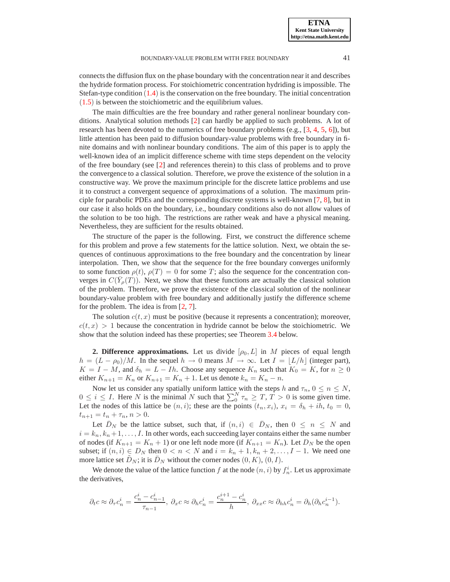connects the diffusion flux on the phase boundary with the concentration near it and describes the hydride formation process. For stoichiometric concentration hydriding is impossible. The Stefan-type condition  $(1.4)$  $(1.4)$  $(1.4)$  is the conservation on the free boundary. The initial concentration ([1.5](#page-0-0)) is between the stoichiometric and the equilibrium values.

The main difficulties are the free boundary and rather general nonlinear boundary conditions. Analytical solution methods [\[2\]](#page-16-0) can hardly be applied to such problems. A lot of research has been devoted to the numerics of free boundary problems (e.g.,  $[3, 4, 5, 6]$  $[3, 4, 5, 6]$  $[3, 4, 5, 6]$  $[3, 4, 5, 6]$  $[3, 4, 5, 6]$  $[3, 4, 5, 6]$  $[3, 4, 5, 6]$ ), but little attention has been paid to diffusion boundary-value problems with free boundary in finite domains and with nonlinear boundary conditions. The aim of this paper is to apply the well-known idea of an implicit difference scheme with time steps dependent on the velocity of the free boundary (see [\[2\]](#page-16-0) and references therein) to this class of problems and to prove the convergence to a classical solution. Therefore, we prove the existence of the solution in a constructive way. We prove the maximum principle for the discrete lattice problems and use it to construct a convergent sequence of approximations of a solution. The maximum principle for parabolic PDEs and the corresponding discrete systems is well-known [\[7,](#page-16-5) [8\]](#page-16-6), but in our case it also holds on the boundary, i.e., boundary conditions also do not allow values of the solution to be too high. The restrictions are rather weak and have a physical meaning. Nevertheless, they are sufficient for the results obtained.

The structure of the paper is the following. First, we construct the difference scheme for this problem and prove a few statements for the lattice solution. Next, we obtain the sequences of continuous approximations to the free boundary and the concentration by linear interpolation. Then, we show that the sequence for the free boundary converges uniformly to some function  $\rho(t)$ ,  $\rho(T) = 0$  for some T; also the sequence for the concentration converges in  $C(\bar{Y}_\rho(T))$ . Next, we show that these functions are actually the classical solution of the problem. Therefore, we prove the existence of the classical solution of the nonlinear boundary-value problem with free boundary and additionally justify the difference scheme for the problem. The idea is from [\[2,](#page-16-0) [7\]](#page-16-5).

The solution  $c(t, x)$  must be positive (because it represents a concentration); moreover,  $c(t, x) > 1$  because the concentration in hydride cannot be below the stoichiometric. We show that the solution indeed has these properties; see Theorem [3.4](#page-2-0) below.

**2. Difference approximations.** Let us divide  $[\rho_0, L]$  in M pieces of equal length  $h = (L - \rho_0)/M$ . In the sequel  $h \to 0$  means  $M \to \infty$ . Let  $I = |L/h|$  (integer part),  $K = I - M$ , and  $\delta_h = L - Ih$ . Choose any sequence  $K_n$  such that  $K_0 = K$ , for  $n \geq 0$ either  $K_{n+1} = K_n$  or  $K_{n+1} = K_n + 1$ . Let us denote  $k_n = K_n - n$ .

Now let us consider any spatially uniform lattice with the steps h and  $\tau_n$ ,  $0 \le n \le N$ ,  $0 \le i \le I$ . Here N is the minimal N such that  $\sum_{0}^{N} \tau_n \ge T$ ,  $T > 0$  is some given time. Let the nodes of this lattice be  $(n, i)$ ; these are the points  $(t_n, x_i)$ ,  $x_i = \delta_h + ih$ ,  $t_0 = 0$ ,  $t_{n+1} = t_n + \tau_n, n > 0.$ 

Let  $\bar{D}_N$  be the lattice subset, such that, if  $(n, i) \in \bar{D}_N$ , then  $0 \leq n \leq N$  and  $i = k_n, k_n + 1, \ldots, I$ . In other words, each succeeding layer contains either the same number of nodes (if  $K_{n+1} = K_n + 1$ ) or one left node more (if  $K_{n+1} = K_n$ ). Let  $D_N$  be the open subset; if  $(n, i) \in D_N$  then  $0 < n < N$  and  $i = k_n + 1, k_n + 2, \ldots, I - 1$ . We need one more lattice set  $D_N$ ; it is  $\bar{D}_N$  without the corner nodes  $(0, K)$ ,  $(0, I)$ .

We denote the value of the lattice function  $f$  at the node  $(n, i)$  by  $f_n^i$ . Let us approximate the derivatives,

$$
\partial_t c\approx \partial_\tau c_n^i=\frac{c_n^i-c_{n-1}^i}{\tau_{n-1}},\ \partial_x c\approx \partial_h c_n^i=\frac{c_n^{i+1}-c_n^i}{h},\ \partial_{xx} c\approx \partial_{hh} c_n^i=\partial_h (\partial_h c_n^{i-1}).
$$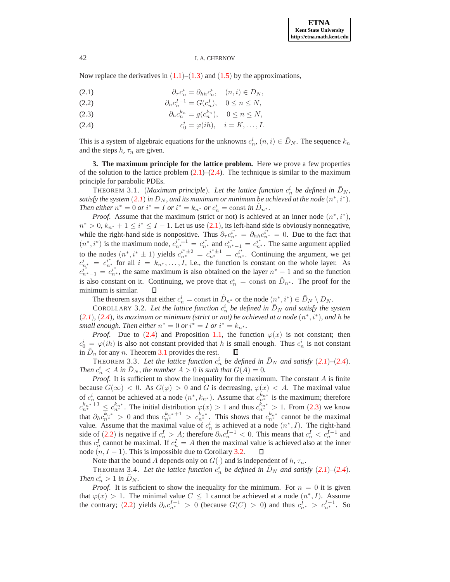Now replace the derivatives in  $(1.1)$  $(1.1)$  $(1.1)$ – $(1.3)$  $(1.3)$  $(1.3)$  and  $(1.5)$  $(1.5)$  $(1.5)$  by the approximations,

<span id="page-2-1"></span>(2.1) 
$$
\partial_{\tau} c_n^i = \partial_{hh} c_n^i, \quad (n, i) \in D_N,
$$

$$
(2.2) \t\t\t\t\t\t\partial_h c_n^{I-1} = G(c_n^I), \t 0 \le n \le N,
$$

(2.3) 
$$
\partial_h c_n^{k_n} = g(c_n^{k_n}), \quad 0 \le n \le N,
$$

(2.4) 
$$
c_0^i = \varphi(ih), \quad i = K, ..., I.
$$

This is a system of algebraic equations for the unknowns  $c_n^i$ ,  $(n, i) \in \overline{D}_N$ . The sequence  $k_n$ and the steps  $h, \tau_n$  are given.

**3. The maximum principle for the lattice problem.** Here we prove a few properties of the solution to the lattice problem  $(2.1)$ – $(2.4)$ . The technique is similar to the maximum principle for parabolic PDEs.

<span id="page-2-2"></span>**THEOREM 3.1.** (Maximum principle). Let the lattice function  $c_n^i$  be defined in  $\bar{D}_N$ , satisfy the system  $(2.1)$  $(2.1)$  $(2.1)$  in  $D_N$ , and its maximum or minimum be achieved at the node  $(n^*,i^*).$ *Then either*  $n^* = 0$  *or*  $i^* = I$  *or*  $i^* = k_{n^*}$  *or*  $c_n^i = \text{const}$  *in*  $\tilde{D}_{n^*}$ *.* 

*Proof.* Assume that the maximum (strict or not) is achieved at an inner node  $(n^*, i^*)$ ,  $n^* > 0$ ,  $k_{n^*} + 1 \le i^* \le I - 1$ . Let us use  $(2.1)$  $(2.1)$  $(2.1)$ , its left-hand side is obviously nonnegative, while the right-hand side is nonpositive. Thus  $\partial_{\tau} c_{n^*}^{i^*} = \partial_{hh} c_{n^*}^{i^*} = 0$ . Due to the fact that  $(n^*, i^*)$  is the maximum node,  $c_{n^*}^{i^* \pm 1} = c_{n^*}^{i^*}$  and  $c_{n^*-1}^{i^*} = c_{n^*}^{i^*}$ . The same argument applied to the nodes  $(n^*, i^* \pm 1)$  yields  $c_{n^*}^{i^* \pm 2} = c_{n^*}^{i^* \pm 1} = c_{n^*}^{i^*}$ . Continuing the argument, we get  $c_{n^*}^i = c_{n^*}^{i^*}$  for all  $i = k_{n^*}, \ldots, I$ , i.e., the function is constant on the whole layer. As  $c_{n^*-1}^{i^*} = c_{n^*}^{i^*}$ , the same maximum is also obtained on the layer  $n^* - 1$  and so the function is also constant on it. Continuing, we prove that  $c_n^i = \text{const}$  on  $\tilde{D}_{n^*}$ . The proof for the minimum is similar. О

The theorem says that either  $c_n^i = \text{const}$  in  $\tilde{D}_{n^*}$  or the node  $(n^*, i^*) \in \bar{D}_N \setminus D_N$ .

<span id="page-2-3"></span>COROLLARY 3.2. Let the lattice function  $c_n^i$  be defined in  $\bar{D}_N$  and satisfy the system  $(2.1)$  $(2.1)$  $(2.1)$ ,  $(2.4)$  $(2.4)$  $(2.4)$ , its maximum or minimum (strict or not) be achieved at a node  $(n^*, i^*)$ , and h be *small enough. Then either*  $n^* = 0$  *or*  $i^* = I$  *or*  $i^* = k_{n^*}$ .

*Proof.* Due to ([2.4](#page-2-1)) and Proposition [1.1,](#page-0-1) the function  $\varphi(x)$  is not constant; then  $c_0^i = \varphi(ih)$  is also not constant provided that h is small enough. Thus  $c_n^i$  is not constant in  $\tilde{D}_n$  for any n. Theorem [3.1](#page-2-2) provides the rest. Д

<span id="page-2-4"></span>**THEOREM 3.3.** Let the lattice function  $c_n^i$  be defined in  $\bar{D}_N$  and satisfy ([2.1](#page-2-1))–([2.4](#page-2-1)). *Then*  $c_n^i < A$  *in*  $\bar{D}_N$ *, the number*  $A > 0$  *is such that*  $G(A) = 0$ *.* 

*Proof.* It is sufficient to show the inequality for the maximum. The constant A is finite because  $G(\infty) < 0$ . As  $G(\varphi) > 0$  and G is decreasing,  $\varphi(x) < A$ . The maximal value of  $c_n^i$  cannot be achieved at a node  $(n^*, k_{n^*})$ . Assume that  $c_{n^*}^{k_{n^*}}$  is the maximum; therefore  $c_{n^*}^{k_{n^*}+1} \leq c_{n^*}^{k_{n^*}}$ . The initial distribution  $\varphi(x) > 1$  and thus  $c_{n^*}^{k_{n^*}} > 1$ . From ([2.3](#page-2-1)) we know that  $\partial_h c_{n^*}^{k_{n^*}} > 0$  and thus  $c_{n^*}^{k_{n^*}+1} > c_{n^*}^{k_{n^*}}$ . This shows that  $c_{n^*}^{k_{n^*}}$  cannot be the maximal value. Assume that the maximal value of  $c_n^i$  is achieved at a node  $(n^*, 1)$ . The right-hand side of ([2.2](#page-2-1)) is negative if  $c_n^I > A$ ; therefore  $\partial_h c_n^{I-1} < 0$ . This means that  $c_n^I < c_n^{I-1}$  and thus  $c_n^I$  cannot be maximal. If  $c_n^I = A$  then the maximal value is achieved also at the inner node  $(n, I - 1)$ . This is impossible due to Corollary [3.2.](#page-2-3) Д

Note that the bound A depends only on  $G(\cdot)$  and is independent of  $h, \tau_n$ .

<span id="page-2-0"></span>THEOREM 3.4. Let the lattice function  $c_n^i$  be defined in  $\bar{D}_N$  and satisfy ([2.1](#page-2-1))–([2.4](#page-2-1)). *Then*  $c_n^i > 1$  *in*  $\bar{D}_N$ *.* 

*Proof.* It is sufficient to show the inequality for the minimum. For  $n = 0$  it is given that  $\varphi(x) > 1$ . The minimal value  $C \leq 1$  cannot be achieved at a node  $(n^*, 1)$ . Assume the contrary; ([2.2](#page-2-1)) yields  $\partial_h c_{n^*}^{I-1} > 0$  (because  $G(C) > 0$ ) and thus  $c_{n^*}^{\overline{I}} > c_{n^*}^{I-1}$ . So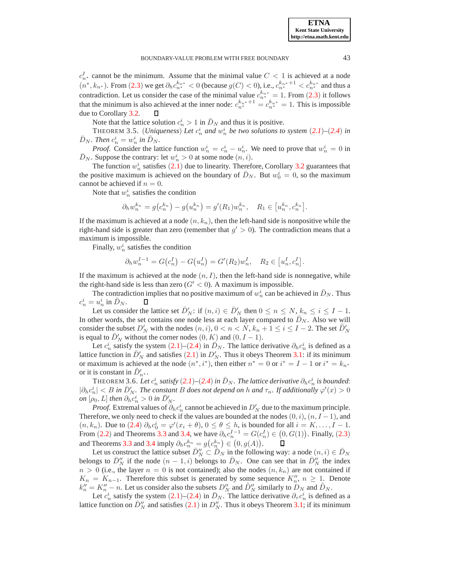$c_{n^*}^I$  cannot be the minimum. Assume that the minimal value  $C < 1$  is achieved at a node  $(n^*, k_{n^*})$ . From  $(2.3)$  $(2.3)$  $(2.3)$  we get  $\partial_h c_{n^*}^{k_{n^*}} < 0$  (because  $g(C) < 0$ ), i.e.,  $c_{n^*}^{k_{n^*}+1} < c_{n^*}^{k_{n^*}}$  and thus a contradiction. Let us consider the case of the minimal value  $c_{n*}^{k_{n*}} = 1$ . From ([2.3](#page-2-1)) it follows that the minimum is also achieved at the inner node:  $c_{n*}^{k_{n*}+1} = c_{n*}^{k_{n*}} = 1$ . This is impossible due to Corollary [3.2.](#page-2-3)  $\Box$ 

Note that the lattice solution  $c_n^i > 1$  in  $\bar{D}_N$  and thus it is positive.

<span id="page-3-0"></span>THEOREM 3.5. (*Uniqueness*) Let  $c_n^i$  and  $w_n^i$  be two solutions to system ([2.1](#page-2-1))–([2.4](#page-2-1)) in  $\bar{D}_N$ *. Then*  $c_n^i = w_n^i$  in  $\bar{D}_N$ *.* 

*Proof.* Consider the lattice function  $w_n^i = c_n^i - u_n^i$ . We need to prove that  $w_n^i = 0$  in  $\bar{D}_N$ . Suppose the contrary: let  $w_n^i > 0$  at some node  $(n, i)$ .

The function  $w_n^i$  satisfies ([2.1](#page-2-1)) due to linearity. Therefore, Corollary [3.2](#page-2-3) guarantees that the positive maximum is achieved on the boundary of  $\bar{D}_N$ . But  $w_0^i = 0$ , so the maximum cannot be achieved if  $n = 0$ .

Note that  $w_n^i$  satisfies the condition

$$
\partial_h w_n^{k_n} = g(c_n^{k_n}) - g(u_n^{k_n}) = g'(R_1)w_n^{k_n}, \quad R_1 \in [u_n^{k_n}, c_n^{k_n}].
$$

If the maximum is achieved at a node  $(n, k_n)$ , then the left-hand side is nonpositive while the right-hand side is greater than zero (remember that  $g' > 0$ ). The contradiction means that a maximum is impossible.

Finally,  $w_n^i$  satisfies the condition

$$
\partial_h w_n^{I-1} = G(c_n^I) - G(u_n^I) = G'(R_2)w_n^I, \quad R_2 \in [u_n^I, c_n^I].
$$

If the maximum is achieved at the node  $(n, I)$ , then the left-hand side is nonnegative, while the right-hand side is less than zero  $(G' < 0)$ . A maximum is impossible.

The contradiction implies that no positive maximum of  $w_n^i$  can be achieved in  $\bar{D}_N$ . Thus  $c_n^i = u_n^i$  in  $\bar{D}_N$ . Д

Let us consider the lattice set  $\bar{D}'_N$ : if  $(n, i) \in \bar{D}'_N$  then  $0 \le n \le N$ ,  $k_n \le i \le I - 1$ . In other words, the set contains one node less at each layer compared to  $D_N$ . Also we will consider the subset  $D'_N$  with the nodes  $(n, i)$ ,  $0 < n < N$ ,  $k_n + 1 \le i \le I - 2$ . The set  $\tilde{D}'_N$ is equal to  $\bar{D}'_N$  without the corner nodes  $(0, K)$  and  $(0, I - 1)$ .

Let  $c_n^i$  satisfy the system  $(2.1)$  $(2.1)$  $(2.1)$ – $(2.4)$  $(2.4)$  $(2.4)$  in  $\bar{D}_N$ . The lattice derivative  $\partial_h c_n^i$  is defined as a lattice function in  $\bar{D}'_N$  and satisfies  $(2.1)$  $(2.1)$  $(2.1)$  in  $D'_N$ . Thus it obeys Theorem [3.1:](#page-2-2) if its minimum or maximum is achieved at the node  $(n^*, i^*)$ , then either  $n^* = 0$  or  $i^* = I - 1$  or  $i^* = k_{n^*}$ or it is constant in  $\tilde{D}'_{n^*}$ .

<span id="page-3-1"></span>THEOREM 3.6. Let  $c_n^i$  satisfy  $(2.1)$  $(2.1)$  $(2.1)$ – $(2.4)$  $(2.4)$  $(2.4)$  in  $\bar{D}_N$ . The lattice derivative  $\partial_h c_n^i$  is bounded:  $|\partial_h c_n^i| < B$  *in*  $\bar{D}'_N$ *. The constant* B *does not depend on* h *and*  $\tau_n$ *. If additionally*  $\varphi'(x) > 0$ *on*  $[\rho_0, L]$  *then*  $\partial_h c_n^i > 0$  *in*  $\overline{D}_N^i$ .

*Proof.* Extremal values of  $\partial_h c_n^i$  cannot be achieved in  $D'_N$  due to the maximum principle. Therefore, we only need to check if the values are bounded at the nodes  $(0, i)$ ,  $(n, I - 1)$ , and  $(n, k_n)$ . Due to  $(2.4)$  $(2.4)$  $(2.4)$   $\partial_h c_0^i = \varphi'(x_i + \theta)$ ,  $0 \le \theta \le h$ , is bounded for all  $i = K, \ldots, I-1$ . From ([2.2](#page-2-1)) and Theorems [3.3](#page-2-4) and [3.4,](#page-2-0) we have  $\partial_h c_n^{I-1} = G(c_n^I) \in (0, G(1))$ . Finally, ([2.3](#page-2-1)) and Theorems [3.3](#page-2-4) and [3.4](#page-2-0) imply  $\partial_h c_n^{k_n} = g(c_n^{k_n}) \in (0, g(A)).$ П

Let us construct the lattice subset  $\overline{D}_N'' \subset \overline{D}_N$  in the following way: a node  $(n, i) \in \overline{D}_N$ belongs to  $\bar{D}'_N$  if the node  $(n-1,i)$  belongs to  $\bar{D}_N$ . One can see that in  $\bar{D}''_N$  the index  $n > 0$  (i.e., the layer  $n = 0$  is not contained); also the nodes  $(n, k_n)$  are not contained if  $K_n = K_{n-1}$ . Therefore this subset is generated by some sequence  $K''_n$ ,  $n \geq 1$ . Denote  $k''_n = K''_n - n$ . Let us consider also the subsets  $D''_N$  and  $\tilde{D}''_N$  similarly to  $D_N$  and  $\tilde{D}_N$ .

Let  $c_n^i$  satisfy the system  $(2.1)$  $(2.1)$  $(2.1)$ – $(2.4)$  $(2.4)$  $(2.4)$  in  $\bar{D}_N$ . The lattice derivative  $\partial_\tau c_n^i$  is defined as a lattice function on  $\bar{D}'_N$  and satisfies  $(2.1)$  $(2.1)$  $(2.1)$  in  $D''_N$ . Thus it obeys Theorem [3.1;](#page-2-2) if its minimum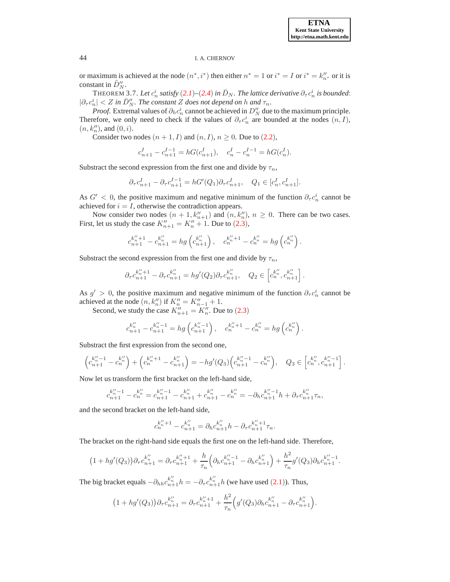or maximum is achieved at the node  $(n^*, i^*)$  then either  $n^* = 1$  or  $i^* = I$  or  $i^* = k''_{n^*}$  or it is constant in  $\tilde{D}_N^{\prime\prime}$ .

<span id="page-4-0"></span>**THEOREM** 3.7. Let  $c_n^i$  satisfy ([2.1](#page-2-1))–([2.4](#page-2-1)) in  $\bar{D}_N$ . The lattice derivative  $\partial_\tau c_n^i$  is bounded:  $|\partial_{\tau} c_n^i| < Z$  *in*  $\overline{D}_N^n$ *. The constant* Z *does not depend on* h *and*  $\tau_n$ *.* 

*Proof.* Extremal values of  $\partial_h c_n^i$  cannot be achieved in  $D''_N$  due to the maximum principle. Therefore, we only need to check if the values of  $\partial_{\tau} c_n^i$  are bounded at the nodes  $(n, I)$ ,  $(n, k''_n)$ , and  $(0, i)$ .

Consider two nodes  $(n + 1, I)$  and  $(n, I)$ ,  $n \ge 0$ . Due to  $(2.2)$  $(2.2)$  $(2.2)$ ,

$$
c_{n+1}^I - c_{n+1}^{I-1} = hG(c_{n+1}^I), \quad c_n^I - c_n^{I-1} = hG(c_n^I).
$$

Substract the second expression from the first one and divide by  $\tau_n$ ,

$$
\partial_{\tau} c_{n+1}^I - \partial_{\tau} c_{n+1}^{I-1} = hG'(Q_1)\partial_{\tau} c_{n+1}^I, \quad Q_1 \in [c_n^I, c_{n+1}^I].
$$

As  $G' < 0$ , the positive maximum and negative minimum of the function  $\partial_{\tau} c_n^i$  cannot be achieved for  $i = I$ , otherwise the contradiction appears.

Now consider two nodes  $(n + 1, k''_{n+1})$  and  $(n, k''_n)$ ,  $n \ge 0$ . There can be two cases. First, let us study the case  $K''_{n+1} = K''_n + 1$ . Due to  $(2.3)$  $(2.3)$  $(2.3)$ ,

$$
c_{n+1}^{k''+1} - c_{n+1}^{k''} = hg\left(c_{n+1}^{k''}\right), \quad c_n^{k''+1} - c_n^{k''} = hg\left(c_n^{k''}\right).
$$

Substract the second expression from the first one and divide by  $\tau_n$ ,

$$
\partial_{\tau} c_{n+1}^{k''+1} - \partial_{\tau} c_{n+1}^{k''} = h g'(Q_2) \partial_{\tau} c_{n+1}^{k''}, \quad Q_2 \in \left[ c_n^{k''} , c_{n+1}^{k''} \right].
$$

As  $g' > 0$ , the positive maximum and negative minimum of the function  $\partial_{\tau} c_n^i$  cannot be achieved at the node  $(n, k_n'')$  if  $K_n'' = K_{n-1}'' + 1$ .

Second, we study the case  $K''_{n+1} = K''_n$ . Due to ([2.3](#page-2-1))

$$
c_{n+1}^{k''_n} - c_{n+1}^{k''_n-1} = hg\left(c_{n+1}^{k''_n-1}\right), \quad c_n^{k''_n+1} - c_n^{k''_n} = hg\left(c_n^{k''_n}\right).
$$

Substract the first expression from the second one,

$$
\left(c_{n+1}^{k''-1} - c_n^{k''_n}\right) + \left(c_n^{k''+1} - c_{n+1}^{k''}\right) = -hg'(Q_3)\left(c_{n+1}^{k''-1} - c_n^{k''_n}\right), \quad Q_3 \in \left[c_n^{k''_n}, c_{n+1}^{k''-1}\right].
$$

Now let us transform the first bracket on the left-hand side,

$$
c_{n+1}^{k_{n}^{\prime\prime}-1}-c_{n}^{k_{n}^{\prime\prime}}=c_{n+1}^{k_{n}^{\prime\prime}-1}-c_{n+1}^{k_{n}^{\prime\prime}}+c_{n+1}^{k_{n}^{\prime\prime}}-c_{n}^{k_{n}^{\prime\prime}}=-\partial_{h}c_{n+1}^{k_{n}^{\prime\prime}-1}h+\partial_{\tau}c_{n+1}^{k_{n}^{\prime\prime}}\tau_{n},
$$

and the second bracket on the left-hand side,

$$
c_n^{k''_n+1} - c_{n+1}^{k''_n} = \partial_h c_{n+1}^{k''_n} h - \partial_\tau c_{n+1}^{k''_n+1} \tau_n.
$$

The bracket on the right-hand side equals the first one on the left-hand side. Therefore,

$$
(1 + hg'(Q_3))\partial_\tau c_{n+1}^{k''_n} = \partial_\tau c_{n+1}^{k''_n+1} + \frac{h}{\tau_n} \Big( \partial_h c_{n+1}^{k''_n-1} - \partial_h c_{n+1}^{k''_n} \Big) + \frac{h^2}{\tau_n} g'(Q_3) \partial_h c_{n+1}^{k''_n-1}.
$$

The big bracket equals  $-\partial_{hh}c_{n+1}^{k''_n}h = -\partial_{\tau}c_{n+1}^{k''_n}h$  (we have used ([2.1](#page-2-1))). Thus,

$$
(1 + hg'(Q_3))\partial_\tau c_{n+1}^{k''_n} = \partial_\tau c_{n+1}^{k''_n+1} + \frac{h^2}{\tau_n} \Big( g'(Q_3)\partial_h c_{n+1}^{k''_n} - \partial_\tau c_{n+1}^{k''_n} \Big).
$$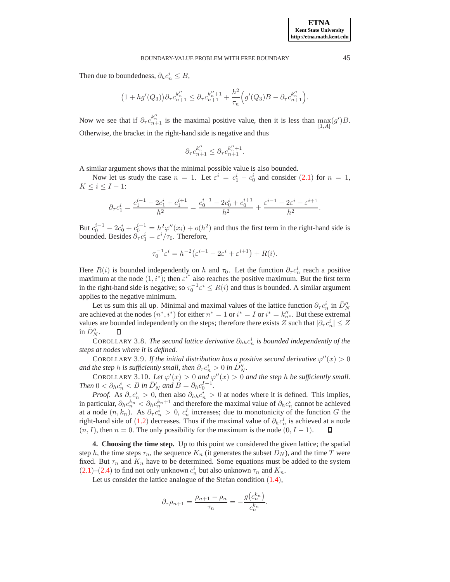Then due to boundedness,  $\partial_h c_n^i \leq B$ ,

$$
(1 + hg'(Q_3)) \partial_{\tau} c_{n+1}^{k''_n} \leq \partial_{\tau} c_{n+1}^{k''_n+1} + \frac{h^2}{\tau_n} \Big( g'(Q_3)B - \partial_{\tau} c_{n+1}^{k''_n} \Big).
$$

Now we see that if  $\partial_{\tau} c_{n+1}^{k''}$  is the maximal positive value, then it is less than  $\max_{[1,A]}(g')B$ . Otherwise, the bracket in the right-hand side is negative and thus

$$
\partial_\tau c_{n+1}^{k_{n}''}\leq \partial_\tau c_{n+1}^{k_{n}''+1}.
$$

A similar argument shows that the minimal possible value is also bounded.

Now let us study the case  $n = 1$ . Let  $\varepsilon^i = c_1^i - c_0^i$  and consider ([2.1](#page-2-1)) for  $n = 1$ ,  $K \leq i \leq I-1$ :

$$
\partial_{\tau} c_1^i = \frac{c_1^{i-1} - 2c_1^i + c_1^{i+1}}{h^2} = \frac{c_0^{i-1} - 2c_0^i + c_0^{i+1}}{h^2} + \frac{\varepsilon^{i-1} - 2\varepsilon^i + \varepsilon^{i+1}}{h^2}.
$$

But  $c_0^{i-1} - 2c_0^i + c_0^{i+1} = h^2 \varphi''(x_i) + o(h^2)$  and thus the first term in the right-hand side is bounded. Besides  $\partial_{\tau} c_1^i = \varepsilon^i / \tau_0$ . Therefore,

$$
\tau_0^{-1} \varepsilon^i = h^{-2} \big( \varepsilon^{i-1} - 2\varepsilon^i + \varepsilon^{i+1} \big) + R(i).
$$

Here  $R(i)$  is bounded independently on h and  $\tau_0$ . Let the function  $\partial_{\tau} c_n^i$  reach a positive maximum at the node  $(1, i^*)$ ; then  $\varepsilon^{i^*}$  also reaches the positive maximum. But the first term in the right-hand side is negative; so  $\tau_0^{-1} \varepsilon^i \le R(i)$  and thus is bounded. A similar argument applies to the negative minimum.

Let us sum this all up. Minimal and maximal values of the lattice function  $\partial_{\tau} c_n^i$  in  $\bar{D}_N^{\prime\prime}$ are achieved at the nodes  $(n^*, i^*)$  for either  $n^* = 1$  or  $i^* = I$  or  $i^* = k''_{n^*}$ . But these extremal values are bounded independently on the steps; therefore there exists Z such that  $|\partial_\tau c_n^i| \leq Z$ in  $\bar{D}_N^{\prime\prime}$ .

<span id="page-5-0"></span>COROLLARY 3.8. *The second lattice derivative*  $\partial_{hh}c_n^i$  *is bounded independently of the steps at nodes where it is defined.*

COROLLARY 3.9. If the initial distribution has a positive second derivative  $\varphi''(x) > 0$ *and the step h is sufficiently small, then*  $\partial_{\tau} c_n^i > 0$  *in*  $\overline{D}_N^{\prime\prime}$ .

COROLLARY 3.10. Let  $\varphi'(x) > 0$  and  $\varphi''(x) > 0$  and the step h be sufficiently small. *Then*  $0 < \partial_h c_n^i < B$  *in*  $\overline{D}_N^i$  *and*  $\overline{B} = \partial_h c_0^{I-1}$ *.* 

*Proof.* As  $\partial_{\tau} c_n^i > 0$ , then also  $\partial_{hh} c_n^i > 0$  at nodes where it is defined. This implies, in particular,  $\partial_h c_n^{k_n} < \partial_h c_n^{k_n+1}$  and therefore the maximal value of  $\partial_h c_n^i$  cannot be achieved at a node  $(n, k_n)$ . As  $\partial_{\tau} c_n^i > 0$ ,  $c_n^I$  increases; due to monotonicity of the function G the right-hand side of ([1.2](#page-0-0)) decreases. Thus if the maximal value of  $\partial_h c_n^i$  is achieved at a node  $(n, I)$ , then  $n = 0$ . The only possibility for the maximum is the node  $(0, I - 1)$ . D

**4. Choosing the time step.** Up to this point we considered the given lattice; the spatial step h, the time steps  $\tau_n$ , the sequence  $K_n$  (it generates the subset  $D_N$ ), and the time T were fixed. But  $\tau_n$  and  $K_n$  have to be determined. Some equations must be added to the system  $(2.1)$  $(2.1)$  $(2.1)$ – $(2.4)$  $(2.4)$  $(2.4)$  to find not only unknown  $c_n^i$  but also unknown  $\tau_n$  and  $K_n$ .

Let us consider the lattice analogue of the Stefan condition  $(1.4)$  $(1.4)$  $(1.4)$ ,

$$
\partial_{\tau}\rho_{n+1} = \frac{\rho_{n+1} - \rho_n}{\tau_n} = -\frac{g(c_n^{k_n})}{c_n^{k_n}}.
$$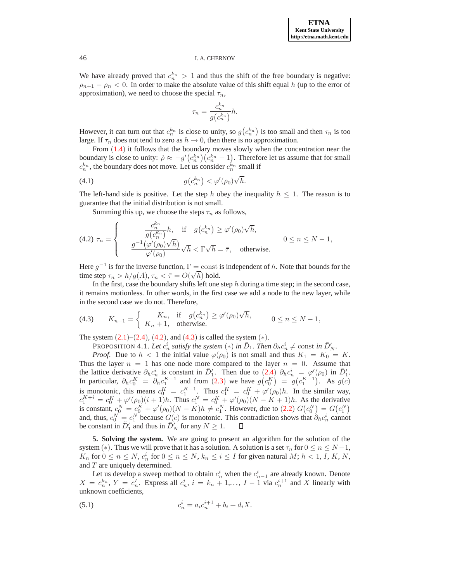We have already proved that  $c_n^{k_n} > 1$  and thus the shift of the free boundary is negative:  $\rho_{n+1} - \rho_n < 0$ . In order to make the absolute value of this shift equal h (up to the error of approximation), we need to choose the special  $\tau_n$ ,

$$
\tau_n = \frac{c_n^{k_n}}{g(c_n^{k_n})}h.
$$

However, it can turn out that  $c_n^{k_n}$  is close to unity, so  $g(c_n^{k_n})$  is too small and then  $\tau_n$  is too large. If  $\tau_n$  does not tend to zero as  $h \to 0$ , then there is no approximation.

From  $(1.4)$  $(1.4)$  $(1.4)$  it follows that the boundary moves slowly when the concentration near the boundary is close to unity:  $\rho \approx -g'(c_n^{k_n})(c_n^{k_n}-1)$ . Therefore let us assume that for small  $c_n^{k_n}$ , the boundary does not move. Let us consider  $c_n^{k_n}$  small if

$$
(4.1) \t\t g\big(c_n^{k_n}\big) < \varphi'(\rho_0)\sqrt{h}.
$$

The left-hand side is positive. Let the step h obey the inequality  $h \leq 1$ . The reason is to guarantee that the initial distribution is not small.

<span id="page-6-3"></span>Summing this up, we choose the steps  $\tau_n$  as follows,

<span id="page-6-0"></span>
$$
(4.2) \ \tau_n = \begin{cases} \frac{c_n^{k_n}}{g(c_n^{k_n})}h, & \text{if } g(c_n^{k_n}) \ge \varphi'(\rho_0)\sqrt{h}, \\ \frac{g^{-1}(\varphi'(\rho_0)\sqrt{h})}{\varphi'(\rho_0)}\sqrt{h} & \text{otherwise.} \end{cases} \qquad 0 \le n \le N - 1,
$$

Here  $g^{-1}$  is for the inverse function,  $\Gamma = \text{const}$  is independent of h. Note that bounds for the time step  $\tau_n > h/g(A), \tau_n < \bar{\tau} = O(\sqrt{h})$  hold.

In the first, case the boundary shifts left one step  $h$  during a time step; in the second case, it remains motionless. In other words, in the first case we add a node to the new layer, while in the second case we do not. Therefore,

<span id="page-6-1"></span>(4.3) 
$$
K_{n+1} = \begin{cases} K_n, & \text{if } g(c_n^{k_n}) \ge \varphi'(\rho_0) \sqrt{h}, \\ K_n + 1, & \text{otherwise.} \end{cases} \qquad 0 \le n \le N - 1,
$$

The system  $(2.1)–(2.4)$  $(2.1)–(2.4)$  $(2.1)–(2.4)$  $(2.1)–(2.4)$  $(2.1)–(2.4)$ ,  $(4.2)$  $(4.2)$  $(4.2)$ , and  $(4.3)$  $(4.3)$  $(4.3)$  is called the system  $(*)$ .

PROPOSITION 4.1. Let  $c_n^i$  satisfy the system  $(*)$  in  $\bar{D}_1$ . Then  $\partial_h c_n^i \neq \text{const}$  in  $\bar{D}_N'$ .

*Proof.* Due to  $h < 1$  the initial value  $\varphi(\rho_0)$  is not small and thus  $K_1 = K_0 = K$ . Thus the layer  $n = 1$  has one node more compared to the layer  $n = 0$ . Assume that the lattice derivative  $\partial_h c_n^i$  is constant in  $\overline{D}'_1$ . Then due to ([2.4](#page-2-1))  $\partial_h c_n^i = \varphi'(\rho_0)$  in  $\overline{D}'_1$ . In particular,  $\partial_h c_0^K = \partial_h c_1^{K-1}$  and from ([2.3](#page-2-1)) we have  $g(c_0^K) = g(c_1^{K-1})$ . As  $g(c)$ is monotonic, this means  $c_0^K = c_1^{K-1}$ . Thus  $c_1^K = c_0^K + \varphi'(\rho_0)h$ . In the similar way,  $c_1^{K+i} = c_0^K + \varphi'(\rho_0)(i+1)h$ . Thus  $c_1^N = c_0^K + \varphi'(\rho_0)(N - K + 1)h$ . As the derivative is constant,  $c_0^N = c_0^K + \varphi'(\rho_0)(N - K)h \neq c_1^N$ . However, due to ([2.2](#page-2-1))  $G(c_0^N) = G(c_1^N)$ and, thus,  $c_0^N = c_1^N$  because  $G(c)$  is monotonic. This contradiction shows that  $\partial_h c_n^i$  cannot be constant in  $\tilde{D}'_1$  and thus in  $\overline{D}'_N$  for any  $N \ge 1$ .  $\Box$ 

**5. Solving the system.** We are going to present an algorithm for the solution of the system (\*). Thus we will prove that it has a solution. A solution is a set  $\tau_n$  for  $0 \le n \le N-1$ ,  $K_n$  for  $0 \le n \le N$ ,  $c_n^i$  for  $0 \le n \le N$ ,  $k_n \le i \le I$  for given natural  $M$ ;  $h < 1$ ,  $I$ ,  $K$ ,  $N$ , and T are uniquely determined.

Let us develop a sweep method to obtain  $c_n^i$  when the  $c_{n-1}^i$  are already known. Denote  $X = c_n^{k_n}$ ,  $Y = c_n^I$ . Express all  $c_n^i$ ,  $i = k_n + 1, \ldots, I - 1$  via  $c_n^{i+1}$  and X linearly with unknown coefficients,

<span id="page-6-2"></span>(5.1) 
$$
c_n^i = a_i c_n^{i+1} + b_i + d_i X.
$$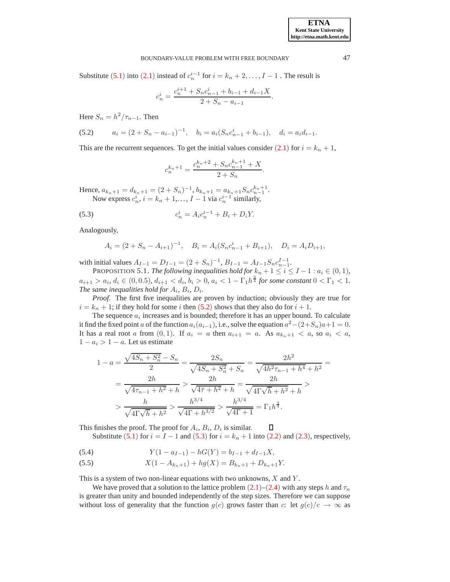.

#### BOUNDARY-VALUE PROBLEM WITH FREE BOUNDARY 47

Substitute ([5.1](#page-6-2)) into ([2.1](#page-2-1)) instead of  $c_n^{i-1}$  for  $i = k_n + 2, \ldots, I-1$ . The result is

$$
c_n^i = \frac{c_n^{i+1} + S_n c_{n-1}^i + b_{i-1} + d_{i-1}X}{2 + S_n - a_{i-1}}
$$

Here  $S_n = h^2 / \tau_{n-1}$ . Then

<span id="page-7-0"></span>(5.2) 
$$
a_i = (2 + S_n - a_{i-1})^{-1}, \quad b_i = a_i (S_n c_{n-1}^i + b_{i-1}), \quad d_i = a_i d_{i-1}.
$$

This are the recurrent sequences. To get the initial values consider ([2.1](#page-2-1)) for  $i = k_n + 1$ ,

$$
c_n^{k_n+1} = \frac{c_n^{k_n+2} + S_n c_{n-1}^{k_n+1} + X}{2 + S_n}.
$$

Hence,  $a_{k_n+1} = d_{k_n+1} = (2 + S_n)^{-1}$ ,  $b_{k_n+1} = a_{k_n+1} S_n c_{n-1}^{k_n+1}$ . Now express  $c_n^i$ ,  $i = k_n + 1, \ldots, I - 1$  via  $c_n^{i-1}$  similarly,

(5.3) 
$$
c_n^i = A_i c_n^{i-1} + B_i + D_i Y.
$$

Analogously,

<span id="page-7-1"></span>
$$
A_i = (2 + S_n - A_{i+1})^{-1}, \quad B_i = A_i (S_n c_{n-1}^i + B_{i+1}), \quad D_i = A_i D_{i+1},
$$

with initial values  $A_{I-1} = D_{I-1} = (2 + S_n)^{-1}$ ,  $B_{I-1} = A_{I-1} S_n c_{n-1}^{I-1}$ .

PROPOSITION 5.1. *The following inequalities hold for*  $k_n + 1 \le i \le I - 1$ :  $a_i \in (0, 1)$ *,*  $a_{i+1} > a_i, d_i \in (0, 0.5), d_{i+1} < d_i, b_i > 0, a_i < 1 - \Gamma_1 h^{\frac{3}{4}}$  for some constant  $0 < \Gamma_1 < 1$ . *The same inequalities hold for*  $A_i$ ,  $B_i$ ,  $D_i$ .

*Proof*. The first five inequalities are proven by induction; obviously they are true for  $i = k_n + 1$ ; if they hold for some i then ([5.2](#page-7-0)) shows that they also do for  $i + 1$ .

The sequence  $a_i$  increases and is bounded; therefore it has an upper bound. To calculate it find the fixed point a of the function  $a_i(a_{i-1})$ , i.e., solve the equation  $a^2 - (2+S_n)a+1 = 0$ . It has a real root a from  $(0, 1)$ . If  $a_i = a$  then  $a_{i+1} = a$ . As  $a_{k_n+1} < a$ , so  $a_i < a$ ,  $1 - a_i > 1 - a$ . Let us estimate

$$
1 - a = \frac{\sqrt{4S_n + S_n^2} - S_n}{2} = \frac{2S_n}{\sqrt{4S_n + S_n^2} + S_n} = \frac{2h^2}{\sqrt{4h^2\tau_{n-1} + h^4} + h^2} =
$$
  
= 
$$
\frac{2h}{\sqrt{4\tau_{n-1} + h^2} + h} > \frac{2h}{\sqrt{4\bar{\tau} + h^2} + h} = \frac{2h}{\sqrt{4\Gamma\sqrt{h} + h^2} + h} >
$$
  

$$
> \frac{h}{\sqrt{4\Gamma\sqrt{h} + h^2}} > \frac{h^{3/4}}{\sqrt{4\Gamma + h^{3/2}}} > \frac{h^{3/4}}{\sqrt{4\Gamma + 1}} = \Gamma_1 h^{\frac{3}{4}}.
$$

This finishes the proof. The proof for  $A_i$ ,  $B_i$ ,  $D_i$  is similar.  $\Box$ 

<span id="page-7-2"></span>Substitute ([5.1](#page-6-2)) for  $i = I - 1$  and ([5.3](#page-7-1)) for  $i = k_n + 1$  into ([2.2](#page-2-1)) and ([2.3](#page-2-1)), respectively,

(5.4)  $Y(1 - a_{I-1}) - hG(Y) = b_{I-1} + d_{I-1}X,$ 

(5.5) 
$$
X(1 - A_{k_n+1}) + hg(X) = B_{k_n+1} + D_{k_n+1}Y.
$$

This is a system of two non-linear equations with two unknowns,  $X$  and  $Y$ .

We have proved that a solution to the lattice problem  $(2.1)$  $(2.1)$  $(2.1)$ – $(2.4)$  $(2.4)$  $(2.4)$  with any steps h and  $\tau_n$ is greater than unity and bounded independently of the step sizes. Therefore we can suppose without loss of generality that the function  $g(c)$  grows faster than c: let  $g(c)/c \rightarrow \infty$  as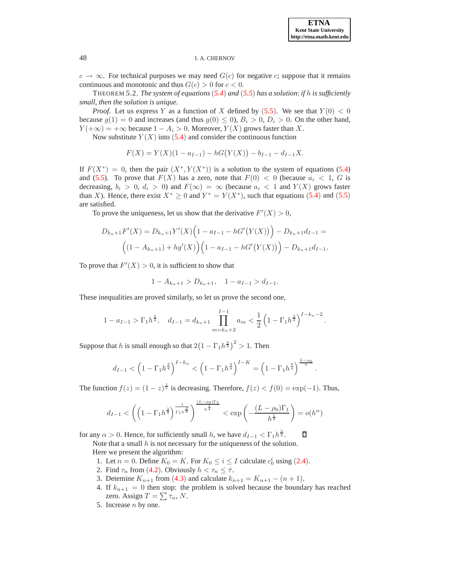

 $c \to \infty$ . For technical purposes we may need  $G(c)$  for negative c; suppose that it remains continuous and monotonic and thus  $G(c) > 0$  for  $c < 0$ .

THEOREM 5.2. *The system of equations*(*[5.4](#page-7-2)*) *and* (*[5.5](#page-7-2)*) *has a solution*; *if* h *is sufficiently small, then the solution is unique.*

*Proof.* Let us express Y as a function of X defined by  $(5.5)$  $(5.5)$  $(5.5)$ . We see that  $Y(0) < 0$ because  $g(1) = 0$  and increases (and thus  $g(0) \le 0$ ),  $B_i > 0$ ,  $D_i > 0$ . On the other hand,  $Y(+\infty) = +\infty$  because  $1 - A_i > 0$ . Moreover,  $Y(X)$  grows faster than X.

Now substitute  $Y(X)$  into ([5.4](#page-7-2)) and consider the continuous function

$$
F(X) = Y(X)(1 - a_{I-1}) - hG(Y(X)) - b_{I-1} - d_{I-1}X.
$$

If  $F(X^*) = 0$ , then the pair  $(X^*, Y(X^*))$  is a solution to the system of equations [\(5.4\)](#page-7-2) and [\(5.5\)](#page-7-2). To prove that  $F(X)$  has a zero, note that  $F(0) < 0$  (because  $a_i < 1$ , G is decreasing,  $b_i > 0$ ,  $d_i > 0$ ) and  $F(\infty) = \infty$  (because  $a_i < 1$  and  $Y(X)$  grows faster than X). Hence, there exist  $X^* \ge 0$  and  $Y^* = Y(X^*)$ , such that equations ([5.4](#page-7-2)) and ([5.5](#page-7-2)) are satisfied.

To prove the uniqueness, let us show that the derivative  $F'(X) > 0$ ,

$$
D_{k_n+1}F'(X) = D_{k_n+1}Y'(X)\left(1 - a_{I-1} - hG'(Y(X))\right) - D_{k_n+1}d_{I-1} =
$$

$$
\left((1 - A_{k_n+1}) + hg'(X)\right)\left(1 - a_{I-1} - hG'(Y(X))\right) - D_{k_n+1}d_{I-1}.
$$

To prove that  $F'(X) > 0$ , it is sufficient to show that

$$
1 - A_{k_n+1} > D_{k_n+1}, \quad 1 - a_{I-1} > d_{I-1}.
$$

These inequalities are proved similarly, so let us prove the second one,

$$
1 - a_{I-1} > \Gamma_1 h^{\frac{3}{4}}, \quad d_{I-1} = d_{k_n+1} \prod_{m=k_n+2}^{I-1} a_m < \frac{1}{2} \left( 1 - \Gamma_1 h^{\frac{3}{4}} \right)^{I-k_n-2}.
$$

Suppose that h is small enough so that  $2(1 - \Gamma_1 h^{\frac{3}{4}})^2 > 1$ . Then

$$
d_{I-1} < \left(1 - \Gamma_1 h^{\frac{3}{4}}\right)^{I-k_n} < \left(1 - \Gamma_1 h^{\frac{3}{4}}\right)^{I-K} = \left(1 - \Gamma_1 h^{\frac{3}{4}}\right)^{\frac{L-\rho_0}{h}}.
$$

The function  $f(z) = (1 - z)^{\frac{1}{z}}$  is decreasing. Therefore,  $f(z) < f(0) = \exp(-1)$ . Thus,

$$
d_{I-1} < \left( \left(1 - \Gamma_1 h^{\frac{3}{4}}\right)^{\frac{1}{\Gamma_1 h^{\frac{3}{4}}}} \right)^{\frac{(L-\rho_0)\Gamma_1}{h^{\frac{1}{4}}}} < \exp\left(-\frac{(L-\rho_0)\Gamma_1}{h^{\frac{1}{4}}}\right) = o(h^{\alpha})
$$

for any  $\alpha > 0$ . Hence, for sufficiently small h, we have  $d_{I-1} < \Gamma_1 h^{\frac{3}{4}}$ .  $\Box$ 

Note that a small  $h$  is not necessary for the uniqueness of the solution. Here we present the algorithm:

- 1. Let  $n = 0$ . Define  $K_0 = K$ . For  $K_0 \le i \le I$  calculate  $c_0^i$  using ([2.4](#page-2-1)).
- 2. Find  $\tau_n$  from ([4.2](#page-6-0)). Obviously  $h < \tau_n \leq \overline{\tau}$ .
- 3. Detemine  $K_{n+1}$  from ([4.3](#page-6-1)) and calculate  $k_{n+1} = K_{n+1} (n+1)$ .
- 4. If  $k_{n+1} = 0$  then stop: the problem is solved because the boundary has reached zero. Assign  $T = \sum \tau_n$ , N.
- 5. Increase n by one.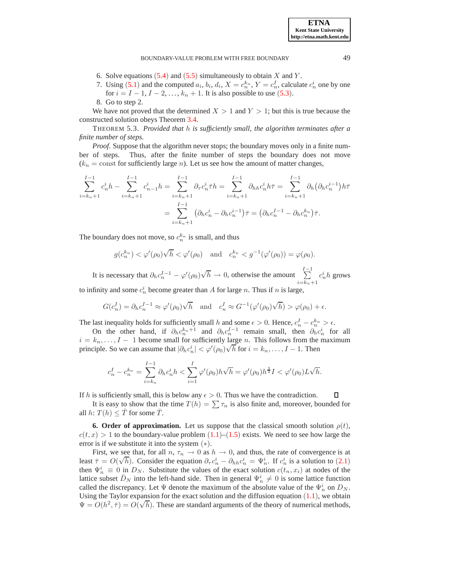### BOUNDARY-VALUE PROBLEM WITH FREE BOUNDARY 49

- 6. Solve equations  $(5.4)$  $(5.4)$  $(5.4)$  and  $(5.5)$  $(5.5)$  $(5.5)$  simultaneously to obtain X and Y.
- 7. Using ([5.1](#page-6-2)) and the computed  $a_i, b_i, d_i, X = c_n^{k_n}, Y = c_n^I$ , calculate  $c_n^i$  one by one for  $i = I - 1, I - 2, ..., k_n + 1$ . It is also possible to use ([5.3](#page-7-1)).
- 8. Go to step 2.

We have not proved that the determined  $X > 1$  and  $Y > 1$ ; but this is true because the constructed solution obeys Theorem [3.4.](#page-2-0)

THEOREM 5.3. *Provided that* h *is sufficiently small, the algorithm terminates after a finite number of steps.*

*Proof.* Suppose that the algorithm never stops; the boundary moves only in a finite number of steps. Thus, after the finite number of steps the boundary does not move  $(k_n = \text{const}$  for sufficiently large *n*). Let us see how the amount of matter changes,

$$
\sum_{i=k_n+1}^{I-1} c_n^i h - \sum_{i=k_n+1}^{I-1} c_{n-1}^i h = \sum_{i=k_n+1}^{I-1} \partial_\tau c_n^i \bar{\tau} h = \sum_{i=k_n+1}^{I-1} \partial_{hh} c_n^i h \bar{\tau} = \sum_{i=k_n+1}^{I-1} \partial_h (\partial_h c_n^{i-1}) h \bar{\tau}
$$

$$
= \sum_{i=k_n+1}^{I-1} (\partial_h c_n^i - \partial_h c_n^{i-1}) \bar{\tau} = (\partial_h c_n^{I-1} - \partial_h c_n^{k_n}) \bar{\tau}.
$$

The boundary does not move, so  $c_n^{k_n}$  is small, and thus

$$
g(c_n^{k_n}) < \varphi'(\rho_0)\sqrt{h} < \varphi'(\rho_0) \quad \text{and} \quad c_n^{k_n} < g^{-1}(\varphi'(\rho_0)) = \varphi(\rho_0).
$$

It is necessary that  $\partial_h c_n^{I-1} - \varphi'(\rho_0) \sqrt{h} \to 0$ , otherwise the amount  $\sum_{n=1}^{I-1}$  $i=k_n+1$  $c_n^ih$  grows

to infinity and some  $c_n^i$  become greater than A for large n. Thus if n is large,

$$
G(c_n^I) = \partial_h c_n^{I-1} \approx \varphi'(\rho_0) \sqrt{h} \quad \text{and} \quad c_n^I \approx G^{-1}(\varphi'(\rho_0) \sqrt{h}) > \varphi(\rho_0) + \epsilon.
$$

The last inequality holds for sufficiently small h and some  $\epsilon > 0$ . Hence,  $c_n^I - c_n^{k_n} > \epsilon$ .

On the other hand, if  $\partial_h c_n^{k_n+1}$  and  $\partial_h c_n^{I-1}$  remain small, then  $\partial_h c_n^i$  for all  $i = k_n, \ldots, I - 1$  become small for sufficiently large n. This follows from the maximum principle. So we can assume that  $|\partial_h c_n^i| < \varphi'(\rho_0) \sqrt{h}$  for  $i = k_n, \dots, I-1$ . Then

$$
c_n^I - c_n^{k_n} = \sum_{i=k_n}^{I-1} \partial_h c_n^i h < \sum_{i=1}^I \varphi'(\rho_0) h \sqrt{h} = \varphi'(\rho_0) h^{\frac{3}{2}} I < \varphi'(\rho_0) L \sqrt{h}.
$$

If h is sufficiently small, this is below any  $\epsilon > 0$ . Thus we have the contradiction.

It is easy to show that the time  $T(h) = \sum \tau_n$  is also finite and, moreover, bounded for all h:  $T(h) \leq \overline{T}$  for some  $\overline{T}$ .

**6. Order of approximation.** Let us suppose that the classical smooth solution  $\rho(t)$ ,  $c(t, x) > 1$  to the boundary-value problem  $(1.1)$  $(1.1)$  $(1.1)$ – $(1.5)$  $(1.5)$  $(1.5)$  exists. We need to see how large the error is if we substitute it into the system (∗).

First, we see that, for all  $n, \tau_n \to 0$  as  $h \to 0$ , and thus, the rate of convergence is at least  $\bar{\tau} = O(\sqrt{h})$ . Consider the equation  $\partial_{\tau} c_n^i - \partial_{hh} c_n^i = \Psi_n^i$ . If  $c_n^i$  is a solution to ([2.1](#page-2-1)) then  $\Psi_n^i \equiv 0$  in  $D_N$ . Substitute the values of the exact solution  $c(t_n, x_i)$  at nodes of the lattice subset  $\bar{D}_N$  into the left-hand side. Then in general  $\Psi_n^i \neq 0$  is some lattice function called the discrepancy. Let  $\Psi$  denote the maximum of the absolute value of the  $\Psi_n^i$  on  $D_N$ . Using the Taylor expansion for the exact solution and the diffusion equation  $(1.1)$  $(1.1)$  $(1.1)$ , we obtain  $\Psi = O(h^2, \overline{\tau}) = O(\sqrt{h})$ . These are standard arguments of the theory of numerical methods,

Π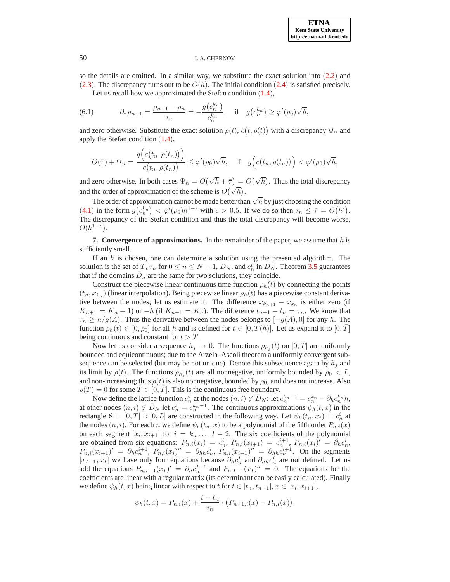

so the details are omitted. In a similar way, we substitute the exact solution into ([2.2](#page-2-1)) and ([2.3](#page-2-1)). The discrepancy turns out to be  $O(h)$ . The initial condition ([2.4](#page-2-1)) is satisfied precisely. Let us recall how we approximated the Stefan condition  $(1.4)$  $(1.4)$  $(1.4)$ ,

<span id="page-10-0"></span>(6.1) 
$$
\partial_{\tau} \rho_{n+1} = \frac{\rho_{n+1} - \rho_n}{\tau_n} = -\frac{g(c_n^{k_n})}{c_n^{k_n}}, \text{ if } g(c_n^{k_n}) \ge \varphi'(\rho_0) \sqrt{h},
$$

and zero otherwise. Substitute the exact solution  $\rho(t)$ ,  $c(t, \rho(t))$  with a discrepancy  $\Psi_n$  and apply the Stefan condition ([1.4](#page-0-0)),

$$
O(\bar{\tau}) + \Psi_n = \frac{g\Big(c(t_n, \rho(t_n))\Big)}{c(t_n, \rho(t_n))} \leq \varphi'(\rho_0)\sqrt{h}, \quad \text{if} \quad g\Big(c(t_n, \rho(t_n))\Big) < \varphi'(\rho_0)\sqrt{h},
$$

and zero otherwise. In both cases  $\Psi_n = O(\sqrt{h} + \bar{\tau}) = O(\sqrt{h})$ . Thus the total discrepancy and the order of approximation of the scheme is  $O(\sqrt{h})$ .

The order of approximation cannot be made better than  $\sqrt{h}$  by just choosing the condition ([4.1](#page-6-3)) in the form  $g(c_n^{k_n}) < \varphi'(\rho_0)h^{1-\epsilon}$  with  $\epsilon > 0.5$ . If we do so then  $\tau_n \leq \overline{\tau} = O(h^{\epsilon})$ . The discrepancy of the Stefan condition and thus the total discrepancy will become worse,  $O(h^{1-\epsilon}).$ 

**7. Convergence of approximations.** In the remainder of the paper, we assume that h is sufficiently small.

If an  $h$  is chosen, one can determine a solution using the presented algorithm. The solution is the set of T,  $\tau_n$  for  $0 \le n \le N-1$ ,  $\bar{D}_N$ , and  $c_n^i$  in  $\bar{D}_N$ . Theorem [3.5](#page-3-0) guarantees that if the domains  $\bar{D}_n$  are the same for two solutions, they coincide.

Construct the piecewise linear continuous time function  $\rho_h(t)$  by connecting the points  $(t_n, x_{k_n})$  (linear interpolation). Being piecewise linear  $\rho_h(t)$  has a piecewise constant derivative between the nodes; let us estimate it. The difference  $x_{k_{n+1}} - x_{k_n}$  is either zero (if  $K_{n+1} = K_n + 1$  or  $-h$  (if  $K_{n+1} = K_n$ ). The difference  $t_{n+1} - t_n = \tau_n$ . We know that  $\tau_n \ge h/g(A)$ . Thus the derivative between the nodes belongs to  $[-g(A), 0]$  for any h. The function  $\rho_h(t) \in [0, \rho_0]$  for all h and is defined for  $t \in [0, T(h)]$ . Let us expand it to  $[0, T]$ being continuous and constant for  $t > T$ .

Now let us consider a sequence  $h_j \to 0$ . The functions  $\rho_{h_j}(t)$  on  $[0, \overline{T}]$  are uniformly bounded and equicontinuous; due to the Arzela–Ascoli theorem a uniformly convergent subsequence can be selected (but may be not unique). Denote this subsequence again by  $h_j$  and its limit by  $\rho(t)$ . The functions  $\rho_{h_j}(t)$  are all nonnegative, uniformly bounded by  $\rho_0 < L$ , and non-increasing; thus  $\rho(t)$  is also nonnegative, bounded by  $\rho_0$ , and does not increase. Also  $\rho(T) = 0$  for some  $T \in [0, T]$ . This is the continuous free boundary.

Now define the lattice function  $c_n^i$  at the nodes  $(n,i) \notin \bar{D}_N$ : let  $c_n^{k_n-1} = c_n^{k_n} - \partial_h c_n^{k_n} h$ , at other nodes  $(n, i) \notin \overline{D}_N$  let  $c_n^i = c_n^{k_n-1}$ . The continuous approximations  $\psi_h(t, x)$  in the rectangle  $\aleph = [0, T] \times [0, L]$  are constructed in the following way. Let  $\psi_h(t_n, x_i) = c_n^i$  at the nodes  $(n, i)$ . For each n we define  $\psi_h(t_n, x)$  to be a polynomial of the fifth order  $P_{n,i}(x)$ on each segment  $[x_i, x_{i+1}]$  for  $i = k_n, \ldots, I-2$ . The six coefficients of the polynomial are obtained from six equations:  $P_{n,i}(x_i) = c_n^i$ ,  $P_{n,i}(x_{i+1}) = c_n^{i+1}$ ,  $P_{n,i}(x_i)^i = \partial_h c_n^i$ ,  $P_{n,i}(x_{i+1})' = \partial_h c_n^{i+1}, P_{n,i}(x_i)'' = \partial_{hh} c_n^i, P_{n,i}(x_{i+1})'' = \partial_{hh} c_n^{i+1}$ . On the segments  $[x_{I-1}, x_I]$  we have only four equations because  $\partial_h c_n^I$  and  $\partial_{hh} c_n^I$  are not defined. Let us add the equations  $P_{n,I-1}(x_I)' = \partial_h c_n^{I-1}$  and  $P_{n,I-1}(x_I)'' = 0$ . The equations for the coefficients are linear with a regular matrix (its determinant can be easily calculated). Finally we define  $\psi_h(t, x)$  being linear with respect to t for  $t \in [t_n, t_{n+1}], x \in [x_i, x_{i+1}],$ 

$$
\psi_h(t,x) = P_{n,i}(x) + \frac{t - t_n}{\tau_n} \cdot (P_{n+1,i}(x) - P_{n,i}(x)).
$$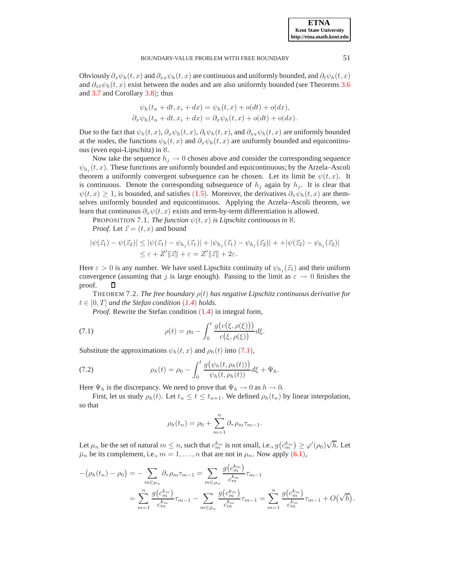#### BOUNDARY-VALUE PROBLEM WITH FREE BOUNDARY 51

Obviously  $\partial_x\psi_h(t, x)$  and  $\partial_{xx}\psi_h(t, x)$  are continuous and uniformly bounded, and  $\partial_t\psi_h(t, x)$ and  $\partial_{xt}\psi_h(t, x)$  exist between the nodes and are also uniformly bounded (see Theorems [3.6](#page-3-1) and [3.7](#page-4-0) and Corollary [3.8](#page-5-0)); thus

$$
\psi_h(t_n + dt, x_i + dx) = \psi_h(t, x) + o(dt) + o(dx),
$$
  

$$
\partial_x \psi_h(t_n + dt, x_i + dx) = \partial_x \psi_h(t, x) + o(dt) + o(dx).
$$

Due to the fact that  $\psi_h(t, x)$ ,  $\partial_x \psi_h(t, x)$ ,  $\partial_t \psi_h(t, x)$ , and  $\partial_{xx} \psi_h(t, x)$  are uniformly bounded at the nodes, the functions  $\psi_h(t, x)$  and  $\partial_x \psi_h(t, x)$  are uniformly bounded and equicontinuous (even equi-Lipschitz) in ℵ.

Now take the sequence  $h_j \to 0$  chosen above and consider the corresponding sequence  $\psi_{h_j}(t, x)$ . These functions are uniformly bounded and equicontinuous; by the Arzela–Ascoli theorem a uniformly convergent subsequence can be chosen. Let its limit be  $\psi(t, x)$ . It is continuous. Denote the corresponding subsequence of  $h_j$  again by  $h_j$ . It is clear that  $\psi(t, x) \geq 1$ , is bounded, and satisfies ([1.5](#page-0-0)). Moreover, the derivatives  $\partial_x \psi_h(t, x)$  are themselves uniformly bounded and equicontinuous. Applying the Arzela–Ascoli theorem, we learn that continuous  $\partial_x \psi(t, x)$  exists and term-by-term differentiation is allowed.

PROPOSITION 7.1. *The function*  $\psi(t, x)$  *is Lipschitz continuous in*  $\aleph$ *. Proof.* Let  $\vec{z} = (t, x)$  and bound

$$
|\psi(\vec{z}_1) - \psi(\vec{z}_2)| \le |\psi(\vec{z}_1) - \psi_{h_j}(\vec{z}_1)| + |\psi_{h_j}(\vec{z}_1) - \psi_{h_j}(\vec{z}_2)| + |\psi(\vec{z}_2) - \psi_{h_j}(\vec{z}_2)|
$$
  

$$
\le \varepsilon + Z' ||\vec{z}|| + \varepsilon = Z' ||\vec{z}|| + 2\varepsilon.
$$

Here  $\varepsilon > 0$  is any number. We have used Lipschitz continuity of  $\psi_{h_j}(\vec{z}_1)$  and their uniform convergence (assuming that j is large enough). Passing to the limit as  $\varepsilon \to 0$  finishes the proof.  $\Box$ proof.

**THEOREM 7.2.** *The free boundary*  $\rho(t)$  *has negative Lipschitz continuous derivative for*  $t \in [0, T]$  *and the Stefan condition*  $(1.4)$  $(1.4)$  $(1.4)$  *holds.* 

<span id="page-11-0"></span>*Proof.* Rewrite the Stefan condition  $(1.4)$  $(1.4)$  $(1.4)$  in integral form,

(7.1) 
$$
\rho(t) = \rho_0 - \int_0^t \frac{g(c(\xi, \rho(\xi)))}{c(\xi, \rho(\xi))} d\xi.
$$

Substitute the approximations  $\psi_h(t, x)$  and  $\rho_h(t)$  into ([7.1](#page-11-0)),

<span id="page-11-1"></span>(7.2) 
$$
\rho_h(t) = \rho_0 - \int_0^t \frac{g(\psi_h(t, \rho_h(t)))}{\psi_h(t, \rho_h(t))} d\xi + \Psi_h.
$$

Here  $\Psi_h$  is the discrepancy. We need to prove that  $\Psi_h \to 0$  as  $h \to 0$ .

First, let us study  $\rho_h(t)$ . Let  $t_n \le t \le t_{n+1}$ . We defined  $\rho_h(t_n)$  by linear interpolation, so that

$$
\rho_h(t_n) = \rho_0 + \sum_{m=1}^n \partial_\tau \rho_m \tau_{m-1}.
$$

Let  $\mu_n$  be the set of natural  $m \leq n$ , such that  $c_m^{k_m}$  is not small, i.e.,  $g(c_m^{k_m}) \geq \varphi'(\rho_0)\sqrt{h}$ . Let  $\bar{\mu}_n$  be its complement, i.e.,  $m = 1, \ldots, n$  that are not in  $\mu_n$ . Now apply ([6.1](#page-10-0)),

$$
-(\rho_h(t_n) - \rho_0) = -\sum_{m \in \mu_n} \partial_{\tau} \rho_m \tau_{m-1} = \sum_{m \in \mu_n} \frac{g(c_m^{k_m})}{c_m^{k_m}} \tau_{m-1}
$$
  
= 
$$
\sum_{m=1}^n \frac{g(c_m^{k_m})}{c_m^{k_m}} \tau_{m-1} - \sum_{m \in \bar{\mu}_n} \frac{g(c_m^{k_m})}{c_m^{k_m}} \tau_{m-1} = \sum_{m=1}^n \frac{g(c_m^{k_m})}{c_m^{k_m}} \tau_{m-1} + O(\sqrt{h}).
$$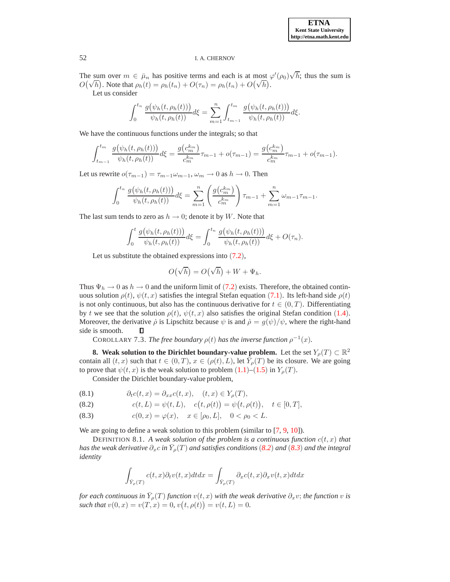The sum over  $m \in \bar{\mu}_n$  has positive terms and each is at most  $\varphi'(\rho_0)\sqrt{h}$ ; thus the sum is  $O(\sqrt{h})$ . Note that  $\rho_h(t) = \rho_h(t_n) + O(\tau_n) = \rho_h(t_n) + O(\sqrt{h})$ . Let us consider

$$
\int_0^{t_n} \frac{g(\psi_h(t, \rho_h(t)))}{\psi_h(t, \rho_h(t))} d\xi = \sum_{m=1}^n \int_{t_{m-1}}^{t_m} \frac{g(\psi_h(t, \rho_h(t)))}{\psi_h(t, \rho_h(t))} d\xi.
$$

We have the continuous functions under the integrals; so that

$$
\int_{t_{m-1}}^{t_m} \frac{g(\psi_h(t, \rho_h(t)))}{\psi_h(t, \rho_h(t))} d\xi = \frac{g(c_m^{k_m})}{c_m^{k_m}} \tau_{m-1} + o(\tau_{m-1}) = \frac{g(c_m^{k_m})}{c_m^{k_m}} \tau_{m-1} + o(\tau_{m-1}).
$$

Let us rewrite  $o(\tau_{m-1}) = \tau_{m-1}\omega_{m-1}, \omega_m \to 0$  as  $h \to 0$ . Then

$$
\int_0^{t_n} \frac{g(\psi_h(t, \rho_h(t)))}{\psi_h(t, \rho_h(t))} d\xi = \sum_{m=1}^n \left( \frac{g(c_m^{k_m})}{c_m^{k_m}} \right) \tau_{m-1} + \sum_{m=1}^n \omega_{m-1} \tau_{m-1}.
$$

The last sum tends to zero as  $h \to 0$ ; denote it by W. Note that

$$
\int_0^t \frac{g(\psi_h(t,\rho_h(t)))}{\psi_h(t,\rho_h(t))} d\xi = \int_0^{t_n} \frac{g(\psi_h(t,\rho_h(t)))}{\psi_h(t,\rho_h(t))} d\xi + O(\tau_n).
$$

Let us substitute the obtained expressions into  $(7.2)$  $(7.2)$  $(7.2)$ ,

$$
O(\sqrt{h}) = O(\sqrt{h}) + W + \Psi_h.
$$

Thus  $\Psi_h \to 0$  as  $h \to 0$  and the uniform limit of ([7.2](#page-11-1)) exists. Therefore, the obtained continuous solution  $\rho(t)$ ,  $\psi(t, x)$  satisfies the integral Stefan equation ([7.1](#page-11-0)). Its left-hand side  $\rho(t)$ is not only continuous, but also has the continuous derivative for  $t \in (0, T)$ . Differentiating by t we see that the solution  $\rho(t)$ ,  $\psi(t, x)$  also satisfies the original Stefan condition ([1.4](#page-0-0)). Moreover, the derivative  $\dot{\rho}$  is Lipschitz because  $\psi$  is and  $\dot{\rho} = g(\psi)/\psi$ , where the right-hand side is smooth.  $\Box$ 

COROLLARY 7.3. *The free boundary*  $\rho(t)$  *has the inverse function*  $\rho^{-1}(x)$ *.* 

**8. Weak solution to the Dirichlet boundary-value problem.** Let the set  $Y_\rho(T) \subset \mathbb{R}^2$ contain all  $(t, x)$  such that  $t \in (0, T)$ ,  $x \in (\rho(t), L)$ , let  $\overline{Y}_{\rho}(T)$  be its closure. We are going to prove that  $\psi(t, x)$  is the weak solution to problem  $(1.1)$  $(1.1)$  $(1.1)$ – $(1.5)$  $(1.5)$  $(1.5)$  in  $Y_o(T)$ .

Consider the Dirichlet boundary-value problem,

<span id="page-12-0"></span>(8.1) 
$$
\partial_t c(t,x) = \partial_{xx} c(t,x), \quad (t,x) \in Y_\rho(T),
$$

(8.2) 
$$
c(t, L) = \psi(t, L), \quad c(t, \rho(t)) = \psi(t, \rho(t)), \quad t \in [0, T],
$$

(8.3)  $c(0, x) = \varphi(x), \quad x \in [\rho_0, L], \quad 0 < \rho_0 < L.$ 

We are going to define a weak solution to this problem (similar to [\[7,](#page-16-5) [9,](#page-16-7) [10\]](#page-16-8)).

DEFINITION 8.1. *A weak solution of the problem is a continuous function*  $c(t, x)$  *that*  $h$ as the weak derivative  $\partial_x c$  in  $\bar{Y}_\rho(T)$  and satisfies conditions ([8.2](#page-12-0)) and ([8.3](#page-12-0)) and the integral *identity*

$$
\int_{\bar{Y}_{\rho}(T)} c(t,x)\partial_t v(t,x)dt dx = \int_{\bar{Y}_{\rho}(T)} \partial_x c(t,x)\partial_x v(t,x)dt dx
$$

for each continuous in  $\bar{Y}_\rho(T)$  function  $v(t,x)$  with the weak derivative  $\partial_x v;$  the function  $v$  is such that  $v(0, x) = v(T, x) = 0$ ,  $v(t, \rho(t)) = v(t, L) = 0$ .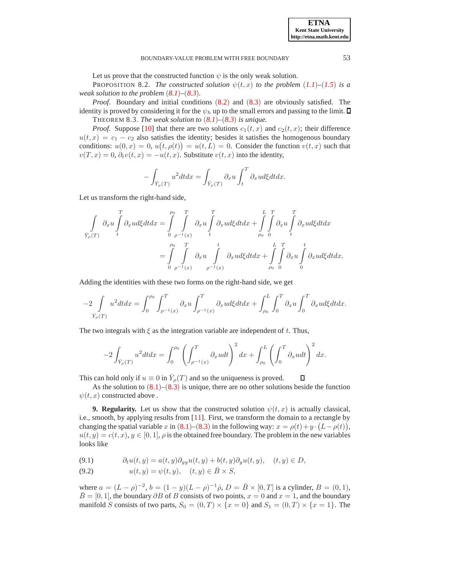$\Box$ 

#### BOUNDARY-VALUE PROBLEM WITH FREE BOUNDARY 53

Let us prove that the constructed function  $\psi$  is the only weak solution.

PROPOSITION 8.2. *The constructed solution*  $\psi(t, x)$  *to the problem* (*[1.1](#page-0-0)*)–(*[1.5](#page-0-0)*) *is a weak solution to the problem* (*[8.1](#page-12-0)*)*–*(*[8.3](#page-12-0)*)*.*

*Proof.* Boundary and initial conditions  $(8.2)$  $(8.2)$  $(8.2)$  and  $(8.3)$  $(8.3)$  $(8.3)$  are obviously satisfied. The identity is proved by considering it for the  $\psi_h$  up to the small errors and passing to the limit.  $\Box$ THEOREM 8.3. *The weak solution to* (*[8.1](#page-12-0)*)*–*(*[8.3](#page-12-0)*) *is unique.*

*Proof.* Suppose [\[10\]](#page-16-8) that there are two solutions  $c_1(t, x)$  and  $c_2(t, x)$ ; their difference  $u(t, x) = c_1 - c_2$  also satisfies the identity; besides it satisfies the homogenous boundary conditions:  $u(0, x) = 0$ ,  $u(t, \rho(t)) = u(t, L) = 0$ . Consider the function  $v(t, x)$  such that  $v(T, x) = 0, \partial_t v(t, x) = -u(t, x)$ . Substitute  $v(t, x)$  into the identity,

$$
-\int_{\bar{Y}_{\rho}(T)} u^2 dt dx = \int_{\bar{Y}_{\rho}(T)} \partial_x u \int_t^T \partial_x u d\xi dt dx.
$$

Let us transform the right-hand side,

$$
\int_{\bar{Y}_{\rho}(T)} \partial_x u \int_t^T \partial_x u d\xi dt dx = \int_0^{\rho_0} \int_{\rho^{-1}(x)}^T \partial_x u \int_t^T \partial_x u d\xi dt dx + \int_{\rho_0}^L \int_0^T \partial_x u \int_t^T \partial_x u d\xi dt dx
$$

$$
= \int_0^{\rho_0} \int_0^T \partial_x u \int_{\rho^{-1}(x)}^t \partial_x u d\xi dt dx + \int_0^L \int_0^T \partial_x u \int_0^t \partial_x u d\xi dt dx.
$$

Adding the identities with these two forms on the right-hand side, we get

$$
-2\int\limits_{\bar{Y}_{\rho}(T)}u^2dtdx=\int_0^{\rho_0}\int_{\rho^{-1}(x)}^T\partial_xu\int_{\rho^{-1}(x)}^T\partial_xud\xi dtdx+\int_{\rho_0}^L\int_0^T\partial_xu\int_0^T\partial_xud\xi dtdx.
$$

The two integrals with  $\xi$  as the integration variable are independent of t. Thus,

$$
-2\int_{\bar{Y}_{\rho}(T)} u^2 dt dx = \int_0^{\rho_0} \left( \int_{\rho^{-1}(x)}^T \partial_x u dt \right)^2 dx + \int_{\rho_0}^L \left( \int_0^T \partial_x u dt \right)^2 dx.
$$

This can hold only if  $u \equiv 0$  in  $\bar{Y}_p(T)$  and so the uniqueness is proved.

As the solution to  $(8.1)$  $(8.1)$  $(8.1)$ – $(8.3)$  $(8.3)$  $(8.3)$  is unique, there are no other solutions beside the function  $\psi(t, x)$  constructed above.

**9. Regularity.** Let us show that the constructed solution  $\psi(t, x)$  is actually classical, i.e., smooth, by applying results from [\[11\]](#page-16-9). First, we transform the domain to a rectangle by changing the spatial variable x in ([8.1](#page-12-0))–([8.3](#page-12-0)) in the following way:  $x = \rho(t) + y \cdot (L - \rho(t))$ ,  $u(t, y) = c(t, x), y \in [0, 1], \rho$  is the obtained free boundary. The problem in the new variables looks like

<span id="page-13-0"></span>(9.1) 
$$
\partial_t u(t,y) = a(t,y)\partial_{yy}u(t,y) + b(t,y)\partial_y u(t,y), \quad (t,y) \in D,
$$

(9.2) 
$$
u(t,y) = \psi(t,y), \quad (t,y) \in \bar{B} \times S,
$$

where  $a = (L - \rho)^{-2}$ ,  $b = (1 - y)(L - \rho)^{-1}\rho$ ,  $D = \bar{B} \times [0, T]$  is a cylinder,  $B = (0, 1)$ ,  $\bar{B} = [0, 1]$ , the boundary ∂B of B consists of two points,  $x = 0$  and  $x = 1$ , and the boundary manifold S consists of two parts,  $S_0 = (0, T) \times \{x = 0\}$  and  $S_1 = (0, T) \times \{x = 1\}$ . The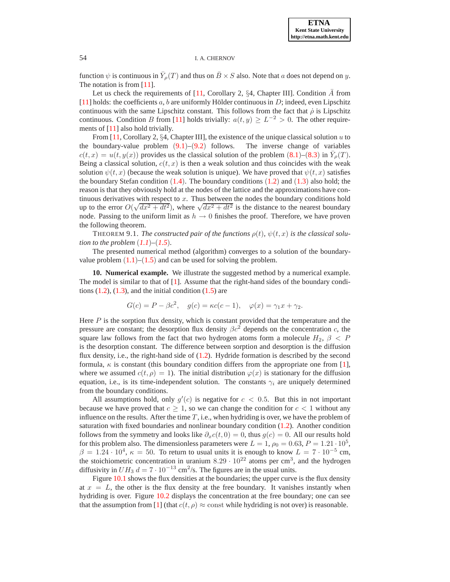function  $\psi$  is continuous in  $\bar{Y}_\rho(T)$  and thus on  $\bar{B} \times S$  also. Note that a does not depend on y. The notation is from [\[11\]](#page-16-9).

Let us check the requirements of [\[11,](#page-16-9) Corollary 2,  $\S4$ , Chapter III]. Condition A from [\[11\]](#page-16-9) holds: the coefficients a, b are uniformly Hölder continuous in D; indeed, even Lipschitz continuous with the same Lipschitz constant. This follows from the fact that  $\dot{\rho}$  is Lipschitz continuous. Condition B from [\[11\]](#page-16-9) holds trivially:  $a(t, y) \geq L^{-2} > 0$ . The other require-ments of [\[11\]](#page-16-9) also hold trivially.

From [\[11,](#page-16-9) Corollary 2, §4, Chapter III], the existence of the unique classical solution u to boundary-value problem  $(9.1)$ – $(9.2)$  follows. The inverse change of variables the boundary-value problem  $(9.1)$  $(9.1)$  $(9.1)$ – $(9.2)$  $(9.2)$  $(9.2)$  follows.  $c(t, x) = u(t, y(x))$  provides us the classical solution of the problem ([8.1](#page-12-0))–([8.3](#page-12-0)) in  $\overline{Y}_p(T)$ . Being a classical solution,  $c(t, x)$  is then a weak solution and thus coincides with the weak solution  $\psi(t, x)$  (because the weak solution is unique). We have proved that  $\psi(t, x)$  satisfies the boundary Stefan condition  $(1.4)$  $(1.4)$  $(1.4)$ . The boundary conditions  $(1.2)$  $(1.2)$  $(1.2)$  and  $(1.3)$  $(1.3)$  $(1.3)$  also hold; the reason is that they obviously hold at the nodes of the lattice and the approximations have continuous derivatives with respect to  $x$ . Thus between the nodes the boundary conditions hold up to the error  $O(\sqrt{dx^2 + dt^2})$ , where  $\sqrt{dx^2 + dt^2}$  is the distance to the nearest boundary node. Passing to the uniform limit as  $h \to 0$  finishes the proof. Therefore, we have proven the following theorem.

THEOREM 9.1. *The constructed pair of the functions*  $\rho(t)$ ,  $\psi(t, x)$  *is the classical solution to the problem*  $(1.1)$  $(1.1)$  $(1.1)$ – $(1.5)$  $(1.5)$  $(1.5)$ *.* 

The presented numerical method (algorithm) converges to a solution of the boundaryvalue problem  $(1.1)$  $(1.1)$  $(1.1)$ – $(1.5)$  $(1.5)$  $(1.5)$  and can be used for solving the problem.

**10. Numerical example.** We illustrate the suggested method by a numerical example. The model is similar to that of [\[1\]](#page-15-0). Assume that the right-hand sides of the boundary conditions  $(1.2)$ ,  $(1.3)$ , and the initial condition  $(1.5)$  are

$$
G(c) = P - \beta c^2, \quad g(c) = \kappa c(c - 1), \quad \varphi(x) = \gamma_1 x + \gamma_2.
$$

Here  $P$  is the sorption flux density, which is constant provided that the temperature and the pressure are constant; the desorption flux density  $\beta c^2$  depends on the concentration c, the square law follows from the fact that two hydrogen atoms form a molecule  $H_2$ ,  $\beta < P$ is the desorption constant. The difference between sorption and desorption is the diffusion flux density, i.e., the right-hand side of  $(1.2)$ . Hydride formation is described by the second formula,  $\kappa$  is constant (this boundary condition differs from the appropriate one from [\[1\]](#page-15-0), where we assumed  $c(t, \rho) = 1$ . The initial distribution  $\varphi(x)$  is stationary for the diffusion equation, i.e., is its time-independent solution. The constants  $\gamma_i$  are uniquely determined from the boundary conditions.

All assumptions hold, only  $g'(c)$  is negative for  $c < 0.5$ . But this in not important because we have proved that  $c \geq 1$ , so we can change the condition for  $c < 1$  without any influence on the results. After the time  $T$ , i.e., when hydriding is over, we have the problem of saturation with fixed boundaries and nonlinear boundary condition [\(1.2\)](#page-0-0). Another condition follows from the symmetry and looks like  $\partial_x c(t, 0) = 0$ , thus  $g(c) = 0$ . All our results hold for this problem also. The dimensionless parameters were  $L = 1$ ,  $\rho_0 = 0.63$ ,  $P = 1.21 \cdot 10^5$ ,  $\beta = 1.24 \cdot 10^4$ ,  $\kappa = 50$ . To return to usual units it is enough to know  $L = 7 \cdot 10^{-5}$  cm, the stoichiometric concentration in uranium  $8.29 \cdot 10^{22}$  atoms per cm<sup>3</sup>, and the hydrogen diffusivity in  $UH_3$   $d = 7 \cdot 10^{-13}$  cm<sup>2</sup>/s. The figures are in the usual units.

Figure [10.1](#page-15-1) shows the flux densities at the boundaries; the upper curve is the flux density at  $x = L$ , the other is the flux density at the free boundary. It vanishes instantly when hydriding is over. Figure [10.2](#page-15-2) displays the concentration at the free boundary; one can see that the assumption from [\[1\]](#page-15-0) (that  $c(t, \rho) \approx$  const while hydriding is not over) is reasonable.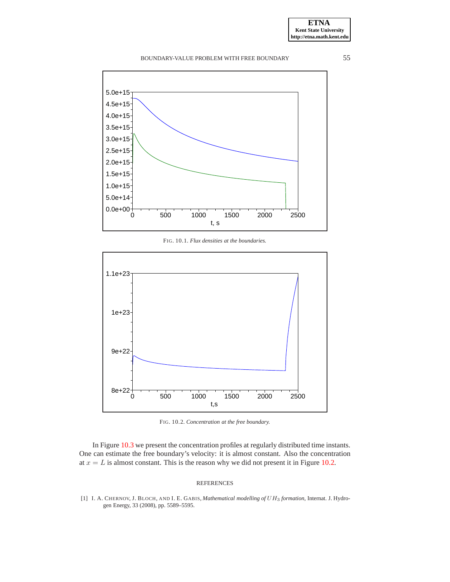# BOUNDARY-VALUE PROBLEM WITH FREE BOUNDARY 55



<span id="page-15-1"></span>FIG. 10.1. *Flux densities at the boundaries.*



<span id="page-15-2"></span>FIG. 10.2. *Concentration at the free boundary.*

In Figure [10.3](#page-16-10) we present the concentration profiles at regularly distributed time instants. One can estimate the free boundary's velocity: it is almost constant. Also the concentration at  $x = L$  is almost constant. This is the reason why we did not present it in Figure [10.2.](#page-15-2)

## REFERENCES

<span id="page-15-0"></span>[1] I. A. CHERNOV, J. BLOCH, AND I. E. GABIS, *Mathematical modelling of* UH<sup>3</sup> *formation*, Internat. J. Hydrogen Energy, 33 (2008), pp. 5589–5595.